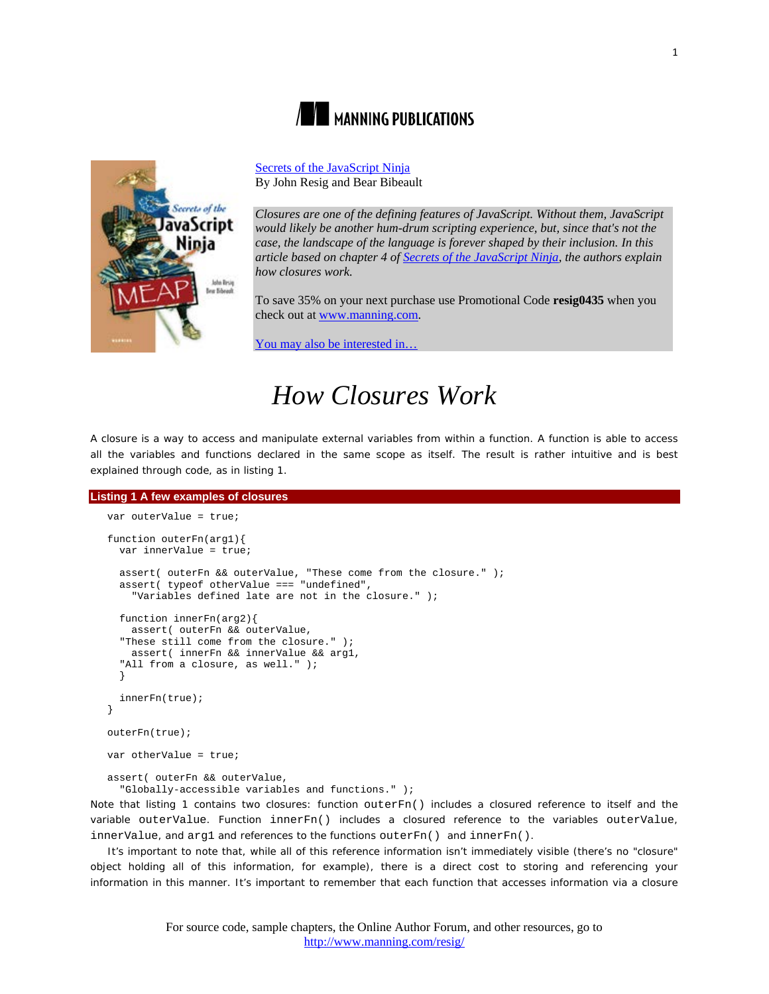



[Secrets of the JavaScript Ninja](http://www.manning.com/resig/) By John Resig and Bear Bibeault

*Closures are one of the defining features of JavaScript. Without them, JavaScript would likely be another hum-drum scripting experience, but, since that's not the case, the landscape of the language is forever shaped by their inclusion. In this article based on chapter 4 of [Secrets of the JavaScript Ninja,](http://www.manning.com/resig/) the authors explain how closures work.*

To save 35% on your next purchase use Promotional Code **resig0435** when you check out at www.manning.com.

You may also be interested in.

# *How Closures Work*

A closure is a way to access and manipulate external variables from within a function. A function is able to access all the variables and functions declared in the same scope as itself. The result is rather intuitive and is best explained through code, as in listing 1.

```
Listing 1 A few examples of closures
   var outerValue = true;
   function outerFn(arg1){
      var innerValue = true;
      assert( outerFn && outerValue, "These come from the closure." );
      assert( typeof otherValue === "undefined",
        "Variables defined late are not in the closure." );
      function innerFn(arg2){
        assert( outerFn && outerValue,
      "These still come from the closure." );
       assert( innerFn && innerValue && arg1,
      "All from a closure, as well." );
    }
      innerFn(true);
   }
   outerFn(true);
   var otherValue = true;
   assert( outerFn && outerValue,
      "Globally-accessible variables and functions." );
Note that listing 1 contains two closures: function outerFn() includes a closured reference to itself and the 
variable outerValue. Function innerFn() includes a closured reference to the variables outerValue, 
innerValue, and arg1 and references to the functions outerFn() and innerFn().
```
It's important to note that, while all of this reference information isn't immediately visible (there's no "closure" object holding all of this information, for example), there is a direct cost to storing and referencing your information in this manner. It's important to remember that each function that accesses information via a closure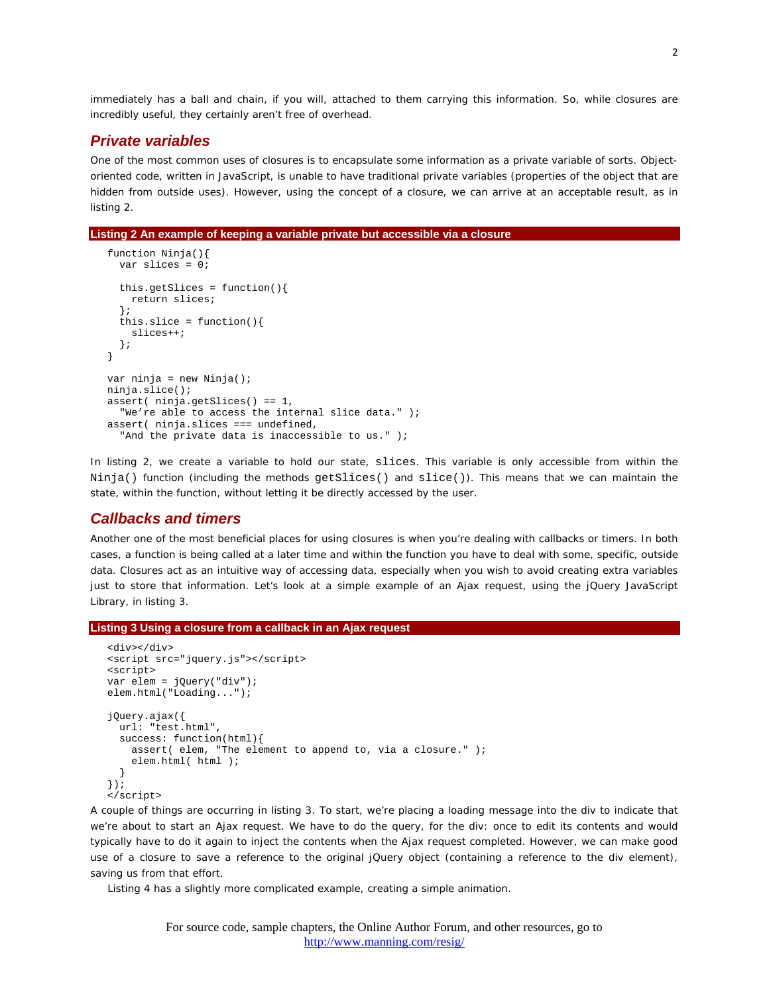immediately has a *ball and chain*, if you will, attached to them carrying this information. So, while closures are incredibly useful, they certainly aren't free of overhead.

## *Private variables*

One of the most common uses of closures is to encapsulate some information as a *private variable* of sorts. Objectoriented code, written in JavaScript, is unable to have traditional private variables (properties of the object that are hidden from outside uses). However, using the concept of a closure, we can arrive at an acceptable result, as in listing 2.

#### **Listing 2 An example of keeping a variable private but accessible via a closure**

```
function Ninja(){
  var slices = 0;
   this.getSlices = function(){
    return slices;
   };
  this.slice = function(){
    slices++;
  };
}
var ninja = new Ninja();
ninja.slice();
assert( ninja.getSlices() == 1,
   "We're able to access the internal slice data." );
assert( ninja.slices === undefined,
  "And the private data is inaccessible to us." );
```
In listing 2, we create a variable to hold our state, slices. This variable is only accessible from within the Ninja() function (including the methods getSlices() and slice()). This means that we can maintain the state, within the function, without letting it be directly accessed by the user.

#### *Callbacks and timers*

Another one of the most beneficial places for using closures is when you're dealing with callbacks or timers. In both cases, a function is being called at a later time and within the function you have to deal with some, specific, outside data. Closures act as an intuitive way of accessing data, especially when you wish to avoid creating extra variables just to store that information. Let's look at a simple example of an Ajax request, using the jQuery JavaScript Library, in listing 3.

#### **Listing 3 Using a closure from a callback in an Ajax request**

```
<div></div>
<script src="jquery.js"></script>
<script>
var elem = jQuery("div");
elem.html("Loading...");
jQuery.ajax({
   url: "test.html",
   success: function(html){
     assert( elem, "The element to append to, via a closure." );
  elem.html( html );
 }
});
</script>
```
A couple of things are occurring in listing 3. To start, we're placing a loading message into the div to indicate that we're about to start an Ajax request. We have to do the query, for the div: once to edit its contents and would typically have to do it again to inject the contents when the Ajax request completed. However, we can make good use of a closure to save a reference to the original jQuery object (containing a reference to the div element), saving us from that effort.

Listing 4 has a slightly more complicated example, creating a simple animation.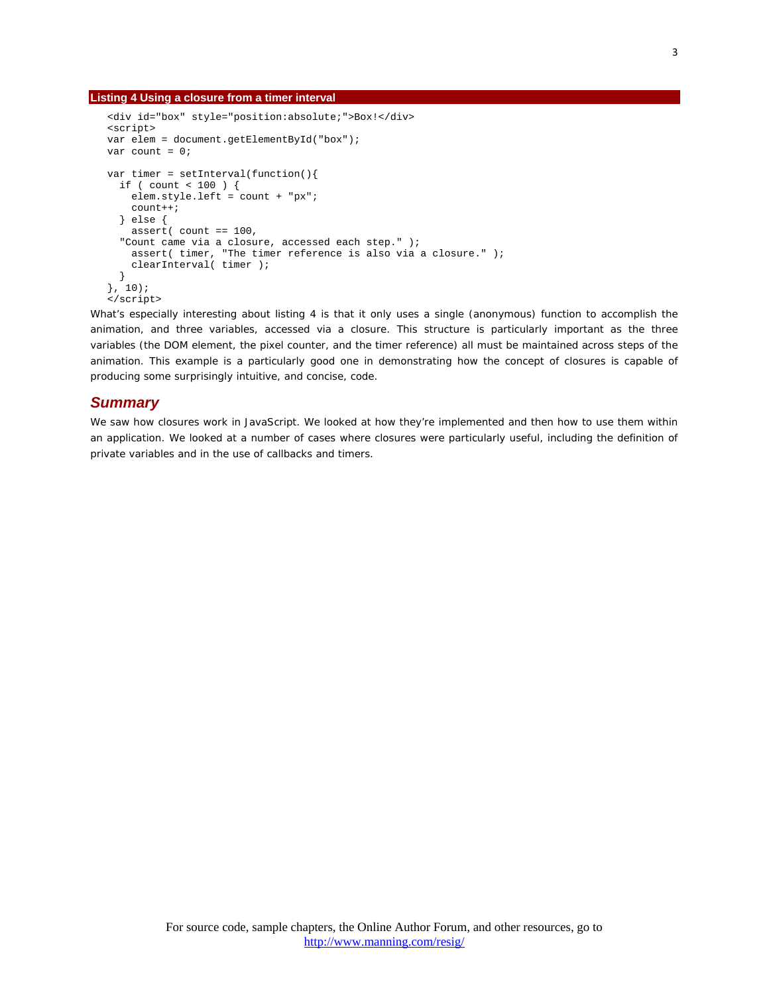#### **Listing 4 Using a closure from a timer interval**

```
<div id="box" style="position:absolute;">Box!</div>
<script>
var elem = document.getElementById("box");
var count = 0;
var timer = setInterval(function() if ( count < 100 ) {
   elem.style.left = count + "px";
    count++;
   } else {
     assert( count == 100,
   "Count came via a closure, accessed each step." );
     assert( timer, "The timer reference is also via a closure." );
     clearInterval( timer );
   }
}, 10);</script>
```
What's especially interesting about listing 4 is that it only uses a single (anonymous) function to accomplish the animation, and three variables, accessed via a closure. This structure is particularly important as the three variables (the DOM element, the pixel counter, and the timer reference) all must be maintained across steps of the animation. This example is a particularly good one in demonstrating how the concept of closures is capable of producing some surprisingly intuitive, and concise, code.

### *Summary*

We saw how closures work in JavaScript. We looked at how they're implemented and then how to use them within an application. We looked at a number of cases where closures were particularly useful, including the definition of private variables and in the use of callbacks and timers.